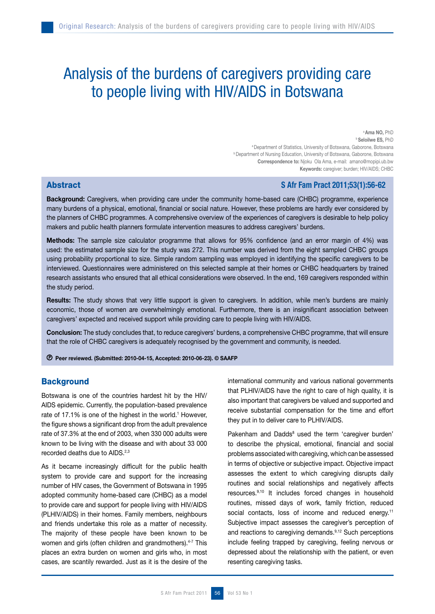# Analysis of the burdens of caregivers providing care to people living with HIV/AIDS in Botswana

<sup>a</sup> Ama NO, PhD **b** Seloilwe ES, PhD a Department of Statistics, University of Botswana, Gaborone, Botswana b Department of Nursing Education, University of Botswana, Gaborone, Botswana Correspondence to: Njoku Ola Ama, e-mail: amano@mopipi.ub.bw Keywords: caregiver; burden; HIV/AIDS; CHBC

# **Abstract Section Abstract Section Abstract Section Abstract 2011**;53(1):56-62

Background: Caregivers, when providing care under the community home-based care (CHBC) programme, experience many burdens of a physical, emotional, financial or social nature. However, these problems are hardly ever considered by the planners of CHBC programmes. A comprehensive overview of the experiences of caregivers is desirable to help policy makers and public health planners formulate intervention measures to address caregivers' burdens.

Methods: The sample size calculator programme that allows for 95% confidence (and an error margin of 4%) was used: the estimated sample size for the study was 272. This number was derived from the eight sampled CHBC groups using probability proportional to size. Simple random sampling was employed in identifying the specific caregivers to be interviewed. Questionnaires were administered on this selected sample at their homes or CHBC headquarters by trained research assistants who ensured that all ethical considerations were observed. In the end, 169 caregivers responded within the study period.

Results: The study shows that very little support is given to caregivers. In addition, while men's burdens are mainly economic, those of women are overwhelmingly emotional. Furthermore, there is an insignificant association between caregivers' expected and received support while providing care to people living with HIV/AIDS.

Conclusion: The study concludes that, to reduce caregivers' burdens, a comprehensive CHBC programme, that will ensure that the role of CHBC caregivers is adequately recognised by the government and community, is needed.

Peer reviewed. (Submitted: 2010-04-15, Accepted: 2010-06-23). © SAAFP

# **Background**

Botswana is one of the countries hardest hit by the HIV/ AIDS epidemic. Currently, the population-based prevalence rate of 17.1% is one of the highest in the world.<sup>1</sup> However, the figure shows a significant drop from the adult prevalence rate of 37.3% at the end of 2003, when 330 000 adults were known to be living with the disease and with about 33 000 recorded deaths due to AIDS.<sup>2,3</sup>

As it became increasingly difficult for the public health system to provide care and support for the increasing number of HIV cases, the Government of Botswana in 1995 adopted community home-based care (CHBC) as a model to provide care and support for people living with HIV/AIDS (PLHIV/AIDS) in their homes. Family members, neighbours and friends undertake this role as a matter of necessity. The majority of these people have been known to be women and girls (often children and grandmothers).<sup>4-7</sup> This places an extra burden on women and girls who, in most cases, are scantily rewarded. Just as it is the desire of the

international community and various national governments that PLHIV/AIDS have the right to care of high quality, it is also important that caregivers be valued and supported and receive substantial compensation for the time and effort they put in to deliver care to PLHIV/AIDS.

Pakenham and Dadds<sup>8</sup> used the term 'caregiver burden' to describe the physical, emotional, financial and social problems associated with caregiving, which can be assessed in terms of objective or subjective impact. Objective impact assesses the extent to which caregiving disrupts daily routines and social relationships and negatively affects resources.9,10 It includes forced changes in household routines, missed days of work, family friction, reduced social contacts, loss of income and reduced energy.<sup>11</sup> Subjective impact assesses the caregiver's perception of and reactions to caregiving demands.<sup>9,12</sup> Such perceptions include feeling trapped by caregiving, feeling nervous or depressed about the relationship with the patient, or even resenting caregiving tasks.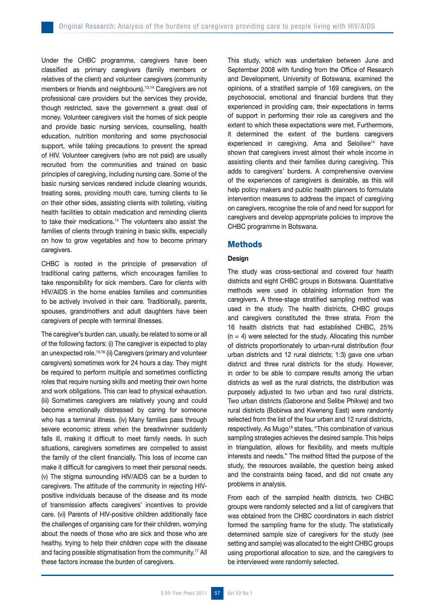Under the CHBC programme, caregivers have been classified as primary caregivers (family members or relatives of the client) and volunteer caregivers (community members or friends and neighbours).<sup>13,14</sup> Caregivers are not professional care providers but the services they provide, though restricted, save the government a great deal of money. Volunteer caregivers visit the homes of sick people and provide basic nursing services, counselling, health education, nutrition monitoring and some psychosocial support, while taking precautions to prevent the spread of HIV. Volunteer caregivers (who are not paid) are usually recruited from the communities and trained on basic principles of caregiving, including nursing care. Some of the basic nursing services rendered include cleaning wounds, treating sores, providing mouth care, turning clients to lie on their other sides, assisting clients with toileting, visiting health facilities to obtain medication and reminding clients to take their medications.14 The volunteers also assist the families of clients through training in basic skills, especially on how to grow vegetables and how to become primary caregivers.

CHBC is rooted in the principle of preservation of traditional caring patterns, which encourages families to take responsibility for sick members. Care for clients with HIV/AIDS in the home enables families and communities to be actively involved in their care. Traditionally, parents, spouses, grandmothers and adult daughters have been caregivers of people with terminal illnesses.

The caregiver's burden can, usually, be related to some or all of the following factors: (i) The caregiver is expected to play an unexpected role.15,16 (ii) Caregivers (primary and volunteer caregivers) sometimes work for 24 hours a day. They might be required to perform multiple and sometimes conflicting roles that require nursing skills and meeting their own home and work obligations. This can lead to physical exhaustion. (iii) Sometimes caregivers are relatively young and could become emotionally distressed by caring for someone who has a terminal illness. (iv) Many families pass through severe economic stress when the breadwinner suddenly falls ill, making it difficult to meet family needs. In such situations, caregivers sometimes are compelled to assist the family of the client financially. This loss of income can make it difficult for caregivers to meet their personal needs. (v) The stigma surrounding HIV/AIDS can be a burden to caregivers. The attitude of the community in rejecting HIVpositive individuals because of the disease and its mode of transmission affects caregivers' incentives to provide care. (vi) Parents of HIV-positive children additionally face the challenges of organising care for their children, worrying about the needs of those who are sick and those who are healthy, trying to help their children cope with the disease and facing possible stigmatisation from the community.<sup>17</sup> All these factors increase the burden of caregivers.

This study, which was undertaken between June and September 2008 with funding from the Office of Research and Development, University of Botswana, examined the opinions, of a stratified sample of 169 caregivers, on the psychosocial, emotional and financial burdens that they experienced in providing care, their expectations in terms of support in performing their role as caregivers and the extent to which these expectations were met. Furthermore, it determined the extent of the burdens caregivers experienced in caregiving. Ama and Seloilwe<sup>14</sup> have shown that caregivers invest almost their whole income in assisting clients and their families during caregiving. This adds to caregivers' burdens. A comprehensive overview of the experiences of caregivers is desirable, as this will help policy makers and public health planners to formulate intervention measures to address the impact of caregiving on caregivers, recognise the role of and need for support for caregivers and develop appropriate policies to improve the CHBC programme in Botswana.

# Methods

## Design

The study was cross-sectional and covered four health districts and eight CHBC groups in Botswana. Quantitative methods were used in obtaining information from the caregivers. A three-stage stratified sampling method was used in the study. The health districts, CHBC groups and caregivers constituted the three strata. From the 16 health districts that had established CHBC, 25%  $(n = 4)$  were selected for the study. Allocating this number of districts proportionately to urban-rural distribution (four urban districts and 12 rural districts; 1:3) gave one urban district and three rural districts for the study. However, in order to be able to compare results among the urban districts as well as the rural districts, the distribution was purposely adjusted to two urban and two rural districts. Two urban districts (Gaborone and Selibe Phikwe) and two rural districts (Bobirwa and Kweneng East) were randomly selected from the list of the four urban and 12 rural districts, respectively. As Mugo<sup>18</sup> states, "This combination of various sampling strategies achieves the desired sample. This helps in triangulation, allows for flexibility, and meets multiple interests and needs." The method fitted the purpose of the study, the resources available, the question being asked and the constraints being faced, and did not create any problems in analysis.

From each of the sampled health districts, two CHBC groups were randomly selected and a list of caregivers that was obtained from the CHBC coordinators in each district formed the sampling frame for the study. The statistically determined sample size of caregivers for the study (see setting and sample) was allocated to the eight CHBC groups using proportional allocation to size, and the caregivers to be interviewed were randomly selected.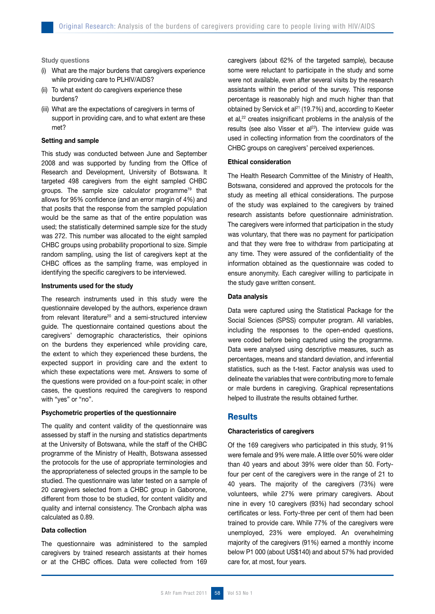Study questions

- (i) What are the major burdens that caregivers experience while providing care to PLHIV/AIDS?
- (ii) To what extent do caregivers experience these burdens?
- (iii) What are the expectations of caregivers in terms of support in providing care, and to what extent are these met?

#### Setting and sample

This study was conducted between June and September 2008 and was supported by funding from the Office of Research and Development, University of Botswana. It targeted 498 caregivers from the eight sampled CHBC groups. The sample size calculator programme19 that allows for 95% confidence (and an error margin of 4%) and that posits that the response from the sampled population would be the same as that of the entire population was used; the statistically determined sample size for the study was 272. This number was allocated to the eight sampled CHBC groups using probability proportional to size. Simple random sampling, using the list of caregivers kept at the CHBC offices as the sampling frame, was employed in identifying the specific caregivers to be interviewed.

#### Instruments used for the study

The research instruments used in this study were the questionnaire developed by the authors, experience drawn from relevant literature<sup>20</sup> and a semi-structured interview guide. The questionnaire contained questions about the caregivers' demographic characteristics, their opinions on the burdens they experienced while providing care, the extent to which they experienced these burdens, the expected support in providing care and the extent to which these expectations were met. Answers to some of the questions were provided on a four-point scale; in other cases, the questions required the caregivers to respond with "yes" or "no".

#### Psychometric properties of the questionnaire

The quality and content validity of the questionnaire was assessed by staff in the nursing and statistics departments at the University of Botswana, while the staff of the CHBC programme of the Ministry of Health, Botswana assessed the protocols for the use of appropriate terminologies and the appropriateness of selected groups in the sample to be studied. The questionnaire was later tested on a sample of 20 caregivers selected from a CHBC group in Gaborone, different from those to be studied, for content validity and quality and internal consistency. The Cronbach alpha was calculated as 0.89.

## Data collection

The questionnaire was administered to the sampled caregivers by trained research assistants at their homes or at the CHBC offices. Data were collected from 169 caregivers (about 62% of the targeted sample), because some were reluctant to participate in the study and some were not available, even after several visits by the research assistants within the period of the survey. This response percentage is reasonably high and much higher than that obtained by Servick et al<sup>21</sup> (19.7%) and, according to Keeter et al,<sup>22</sup> creates insignificant problems in the analysis of the results (see also Visser et al<sup>23</sup>). The interview guide was used in collecting information from the coordinators of the CHBC groups on caregivers' perceived experiences.

## Ethical consideration

The Health Research Committee of the Ministry of Health, Botswana, considered and approved the protocols for the study as meeting all ethical considerations. The purpose of the study was explained to the caregivers by trained research assistants before questionnaire administration. The caregivers were informed that participation in the study was voluntary, that there was no payment for participation and that they were free to withdraw from participating at any time. They were assured of the confidentiality of the information obtained as the questionnaire was coded to ensure anonymity. Each caregiver willing to participate in the study gave written consent.

## Data analysis

Data were captured using the Statistical Package for the Social Sciences (SPSS) computer program. All variables, including the responses to the open-ended questions, were coded before being captured using the programme. Data were analysed using descriptive measures, such as percentages, means and standard deviation, and inferential statistics, such as the t-test. Factor analysis was used to delineate the variables that were contributing more to female or male burdens in caregiving. Graphical representations helped to illustrate the results obtained further.

## **Results**

## Characteristics of caregivers

Of the 169 caregivers who participated in this study, 91% were female and 9% were male. A little over 50% were older than 40 years and about 39% were older than 50. Fortyfour per cent of the caregivers were in the range of 21 to 40 years. The majority of the caregivers (73%) were volunteers, while 27% were primary caregivers. About nine in every 10 caregivers (93%) had secondary school certificates or less. Forty-three per cent of them had been trained to provide care. While 77% of the caregivers were unemployed, 23% were employed. An overwhelming majority of the caregivers (91%) earned a monthly income below P1 000 (about US\$140) and about 57% had provided care for, at most, four years.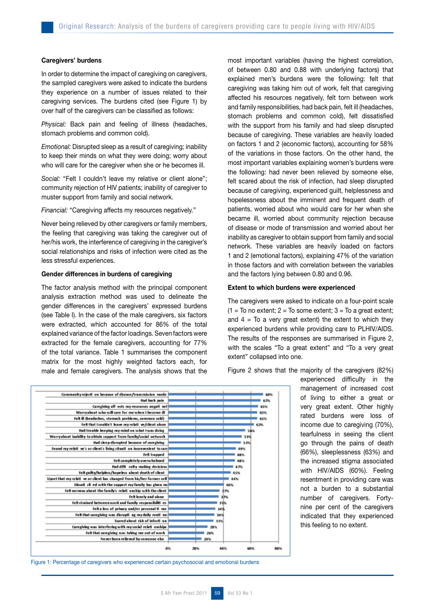#### Caregivers' burdens

In order to determine the impact of caregiving on caregivers, the sampled caregivers were asked to indicate the burdens they experience on a number of issues related to their caregiving services. The burdens cited (see Figure 1) by over half of the caregivers can be classified as follows:

*Physical:* Back pain and feeling of illness (headaches, stomach problems and common cold).

*Emotional:* Disrupted sleep as a result of caregiving; inability to keep their minds on what they were doing; worry about who will care for the caregiver when she or he becomes ill.

*Social:* "Felt I couldn't leave my relative or client alone"; community rejection of HIV patients; inability of caregiver to muster support from family and social network.

*Financial:* "Caregiving affects my resources negatively."

Never being relieved by other caregivers or family members, the feeling that caregiving was taking the caregiver out of her/his work, the interference of caregiving in the caregiver's social relationships and risks of infection were cited as the less stressful experiences.

## Gender differences in burdens of caregiving

The factor analysis method with the principal component analysis extraction method was used to delineate the gender differences in the caregivers' expressed burdens (see Table I). In the case of the male caregivers, six factors were extracted, which accounted for 86% of the total explained variance of the factor loadings. Seven factors were extracted for the female caregivers, accounting for 77% of the total variance. Table 1 summarises the component matrix for the most highly weighted factors each, for male and female caregivers. The analysis shows that the

most important variables (having the highest correlation, of between 0.80 and 0.88 with underlying factors) that explained men's burdens were the following: felt that caregiving was taking him out of work, felt that caregiving affected his resources negatively, felt torn between work and family responsibilities, had back pain, felt ill (headaches, stomach problems and common cold), felt dissatisfied with the support from his family and had sleep disrupted because of caregiving. These variables are heavily loaded on factors 1 and 2 (economic factors), accounting for 58% of the variations in those factors. On the other hand, the most important variables explaining women's burdens were the following: had never been relieved by someone else, felt scared about the risk of infection, had sleep disrupted because of caregiving, experienced guilt, helplessness and hopelessness about the imminent and frequent death of patients, worried about who would care for her when she became ill, worried about community rejection because of disease or mode of transmission and worried about her inability as caregiver to obtain support from family and social network. These variables are heavily loaded on factors 1 and 2 (emotional factors), explaining 47% of the variation in those factors and with correlation between the variables and the factors lying between 0.80 and 0.96.

#### Extent to which burdens were experienced

The caregivers were asked to indicate on a four-point scale  $(1 = To no extent; 2 = To some extent; 3 = To a great extent;$ and  $4 =$  To a very great extent) the extent to which they experienced burdens while providing care to PLHIV/AIDS. The results of the responses are summarised in Figure 2, with the scales "To a great extent" and "To a very great extent" collapsed into one.

Figure 2 shows that the majority of the caregivers (82%)

experienced difficulty in the management of increased cost of living to either a great or very great extent. Other highly rated burdens were loss of income due to caregiving (70%), tearfulness in seeing the client go through the pains of death (66%), sleeplessness (63%) and the increased stigma associated with HIV/AIDS (60%). Feeling resentment in providing care was not a burden to a substantial number of caregivers. Fortynine per cent of the caregivers indicated that they experienced this feeling to no extent.



Figure 1: Percentage of caregivers who experienced certain psychosocial and emotional burdens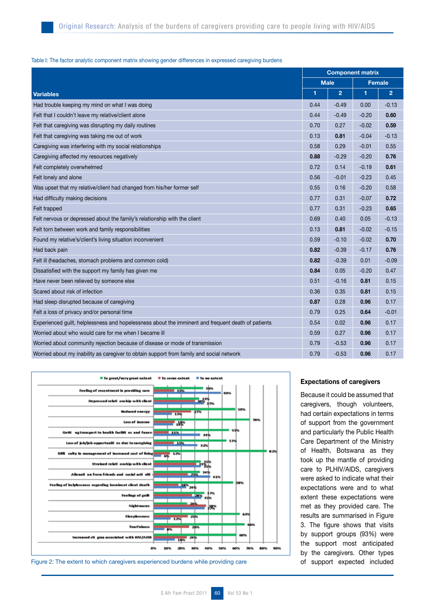## Table I: The factor analytic component matrix showing gender differences in expressed caregiving burdens

|                                                                                                    | <b>Component matrix</b> |                |               |                |
|----------------------------------------------------------------------------------------------------|-------------------------|----------------|---------------|----------------|
|                                                                                                    | <b>Male</b>             |                | <b>Female</b> |                |
| <b>Variables</b>                                                                                   | 1                       | $\overline{2}$ | 1             | $\overline{2}$ |
| Had trouble keeping my mind on what I was doing                                                    | 0.44                    | $-0.49$        | 0.00          | $-0.13$        |
| Felt that I couldn't leave my relative/client alone                                                | 0.44                    | $-0.49$        | $-0.20$       | 0.60           |
| Felt that caregiving was disrupting my daily routines                                              | 0.70                    | 0.27           | $-0.02$       | 0.59           |
| Felt that caregiving was taking me out of work                                                     | 0.13                    | 0.81           | $-0.04$       | $-0.13$        |
| Caregiving was interfering with my social relationships                                            | 0.58                    | 0.29           | $-0.01$       | 0.55           |
| Caregiving affected my resources negatively                                                        | 0.88                    | $-0.29$        | $-0.20$       | 0.76           |
| Felt completely overwhelmed                                                                        | 0.72                    | 0.14           | $-0.19$       | 0.61           |
| Felt lonely and alone                                                                              | 0.56                    | $-0.01$        | $-0.23$       | 0.45           |
| Was upset that my relative/client had changed from his/her former self                             | 0.55                    | 0.16           | $-0.20$       | 0.58           |
| Had difficulty making decisions                                                                    | 0.77                    | 0.31           | $-0.07$       | 0.72           |
| Felt trapped                                                                                       | 0.77                    | 0.31           | $-0.23$       | 0.65           |
| Felt nervous or depressed about the family's relationship with the client                          | 0.69                    | 0.40           | 0.05          | $-0.13$        |
| Felt torn between work and family responsibilities                                                 | 0.13                    | 0.81           | $-0.02$       | $-0.15$        |
| Found my relative's/client's living situation inconvenient                                         | 0.59                    | $-0.10$        | $-0.02$       | 0.70           |
| Had back pain                                                                                      | 0.82                    | $-0.39$        | $-0.17$       | 0.76           |
| Felt ill (headaches, stomach problems and common cold)                                             | 0.82                    | $-0.39$        | 0.01          | $-0.09$        |
| Dissatisfied with the support my family has given me                                               | 0.84                    | 0.05           | $-0.20$       | 0.47           |
| Have never been relieved by someone else                                                           | 0.51                    | $-0.16$        | 0.81          | 0.15           |
| Scared about risk of infection                                                                     | 0.36                    | 0.35           | 0.81          | 0.15           |
| Had sleep disrupted because of caregiving                                                          | 0.87                    | 0.28           | 0.96          | 0.17           |
| Felt a loss of privacy and/or personal time                                                        | 0.79                    | 0.25           | 0.64          | $-0.01$        |
| Experienced guilt, helplessness and hopelessness about the imminent and frequent death of patients | 0.54                    | 0.02           | 0.96          | 0.17           |
| Worried about who would care for me when I became ill                                              | 0.59                    | 0.27           | 0.96          | 0.17           |
| Worried about community rejection because of disease or mode of transmission                       | 0.79                    | $-0.53$        | 0.96          | 0.17           |
| Worried about my inability as caregiver to obtain support from family and social network           | 0.79                    | $-0.53$        | 0.96          | 0.17           |



Figure 2: The extent to which caregivers experienced burdens while providing care

## Expectations of caregivers

Because it could be assumed that caregivers, though volunteers, had certain expectations in terms of support from the government and particularly the Public Health Care Department of the Ministry of Health, Botswana as they took up the mantle of providing care to PLHIV/AIDS, caregivers were asked to indicate what their expectations were and to what extent these expectations were met as they provided care. The results are summarised in Figure 3. The figure shows that visits by support groups (93%) were the support most anticipated by the caregivers. Other types of support expected included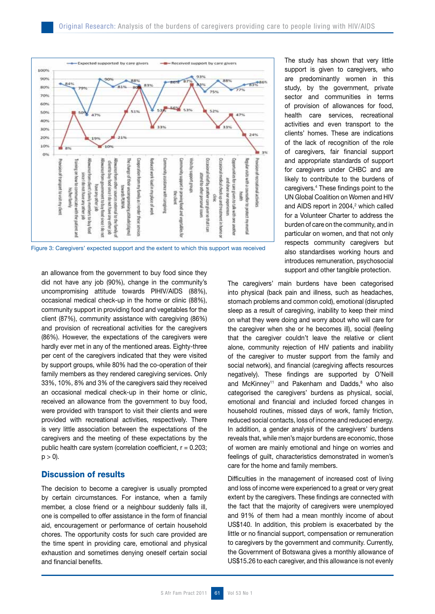

Figure 3: Caregivers' expected support and the extent to which this support was received

an allowance from the government to buy food since they did not have any job (90%), change in the community's uncompromising attitude towards PlHIV/AIDS (88%), occasional medical check-up in the home or clinic (88%), community support in providing food and vegetables for the client (87%), community assistance with caregiving (86%) and provision of recreational activities for the caregivers (86%). However, the expectations of the caregivers were hardly ever met in any of the mentioned areas. Eighty-three per cent of the caregivers indicated that they were visited by support groups, while 80% had the co-operation of their family members as they rendered caregiving services. Only 33%, 10%, 8% and 3% of the caregivers said they received an occasional medical check-up in their home or clinic, received an allowance from the government to buy food, were provided with transport to visit their clients and were provided with recreational activities, respectively. There is very little association between the expectations of the caregivers and the meeting of these expectations by the public health care system (correlation coefficient,  $r = 0.203$ ;  $p > 0$ ).

# Discussion of results

The decision to become a caregiver is usually prompted by certain circumstances. For instance, when a family member, a close friend or a neighbour suddenly falls ill, one is compelled to offer assistance in the form of financial aid, encouragement or performance of certain household chores. The opportunity costs for such care provided are the time spent in providing care, emotional and physical exhaustion and sometimes denying oneself certain social and financial benefits.

The study has shown that very little support is given to caregivers, who are predominantly women in this study, by the government, private sector and communities in terms of provision of allowances for food, health care services, recreational activities and even transport to the clients' homes. These are indications of the lack of recognition of the role of caregivers, fair financial support and appropriate standards of support for caregivers under CHBC and are likely to contribute to the burdens of caregivers.4 These findings point to the UN Global Coalition on Women and HIV and AIDS report in 2004,<sup>2</sup> which called for a Volunteer Charter to address the burden of care on the community, and in particular on women, and that not only respects community caregivers but also standardises working hours and introduces remuneration, psychosocial support and other tangible protection.

The caregivers' main burdens have been categorised into physical (back pain and illness, such as headaches, stomach problems and common cold), emotional (disrupted sleep as a result of caregiving, inability to keep their mind on what they were doing and worry about who will care for the caregiver when she or he becomes ill), social (feeling that the caregiver couldn't leave the relative or client alone, community rejection of HIV patients and inability of the caregiver to muster support from the family and social network), and financial (caregiving affects resources negatively). These findings are supported by O'Neill and McKinney<sup>11</sup> and Pakenham and Dadds, $8$  who also categorised the caregivers' burdens as physical, social, emotional and financial and included forced changes in household routines, missed days of work, family friction, reduced social contacts, loss of income and reduced energy. In addition, a gender analysis of the caregivers' burdens reveals that, while men's major burdens are economic, those of women are mainly emotional and hinge on worries and feelings of guilt, characteristics demonstrated in women's care for the home and family members.

Difficulties in the management of increased cost of living and loss of income were experienced to a great or very great extent by the caregivers. These findings are connected with the fact that the majority of caregivers were unemployed and 91% of them had a mean monthly income of about US\$140. In addition, this problem is exacerbated by the little or no financial support, compensation or remuneration to caregivers by the government and community. Currently, the Government of Botswana gives a monthly allowance of US\$15.26 to each caregiver, and this allowance is not evenly